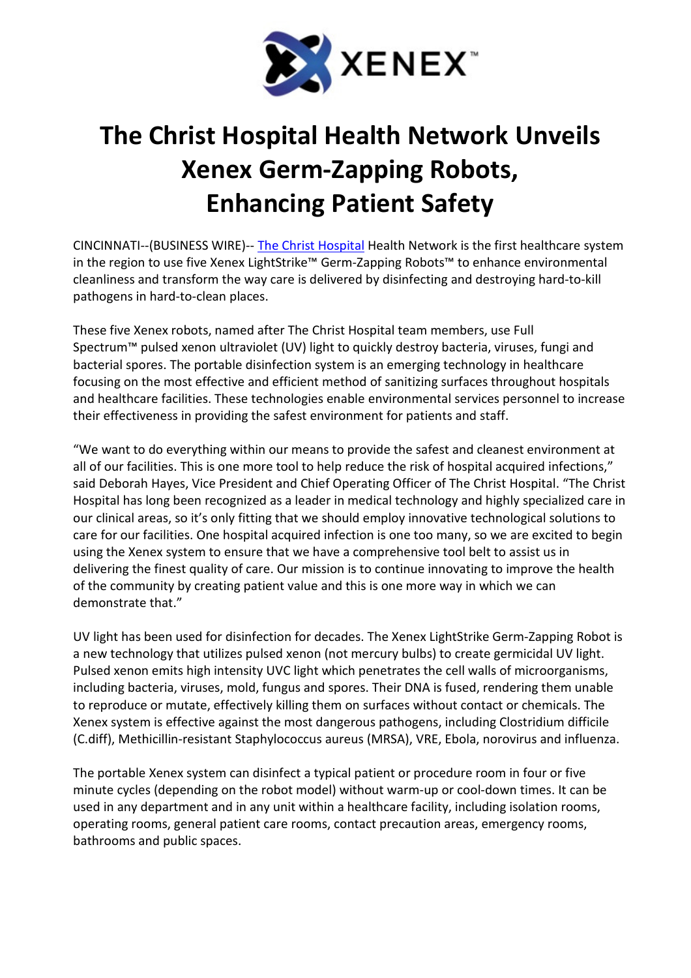

## The Christ Hospital Health Network Unveils Xenex Germ-Zapping Robots, Enhancing Patient Safety

CINCINNATI--(BUSINESS WIRE)-- The Christ Hospital Health Network is the first healthcare system in the region to use five Xenex LightStrike™ Germ-Zapping Robots™ to enhance environmental cleanliness and transform the way care is delivered by disinfecting and destroying hard-to-kill pathogens in hard-to-clean places.

These five Xenex robots, named after The Christ Hospital team members, use Full Spectrum™ pulsed xenon ultraviolet (UV) light to quickly destroy bacteria, viruses, fungi and bacterial spores. The portable disinfection system is an emerging technology in healthcare focusing on the most effective and efficient method of sanitizing surfaces throughout hospitals and healthcare facilities. These technologies enable environmental services personnel to increase their effectiveness in providing the safest environment for patients and staff.

"We want to do everything within our means to provide the safest and cleanest environment at all of our facilities. This is one more tool to help reduce the risk of hospital acquired infections," said Deborah Hayes, Vice President and Chief Operating Officer of The Christ Hospital. "The Christ Hospital has long been recognized as a leader in medical technology and highly specialized care in our clinical areas, so it's only fitting that we should employ innovative technological solutions to care for our facilities. One hospital acquired infection is one too many, so we are excited to begin using the Xenex system to ensure that we have a comprehensive tool belt to assist us in delivering the finest quality of care. Our mission is to continue innovating to improve the health of the community by creating patient value and this is one more way in which we can demonstrate that."

UV light has been used for disinfection for decades. The Xenex LightStrike Germ-Zapping Robot is a new technology that utilizes pulsed xenon (not mercury bulbs) to create germicidal UV light. Pulsed xenon emits high intensity UVC light which penetrates the cell walls of microorganisms, including bacteria, viruses, mold, fungus and spores. Their DNA is fused, rendering them unable to reproduce or mutate, effectively killing them on surfaces without contact or chemicals. The Xenex system is effective against the most dangerous pathogens, including Clostridium difficile (C.diff), Methicillin-resistant Staphylococcus aureus (MRSA), VRE, Ebola, norovirus and influenza.

The portable Xenex system can disinfect a typical patient or procedure room in four or five minute cycles (depending on the robot model) without warm-up or cool-down times. It can be used in any department and in any unit within a healthcare facility, including isolation rooms, operating rooms, general patient care rooms, contact precaution areas, emergency rooms, bathrooms and public spaces.